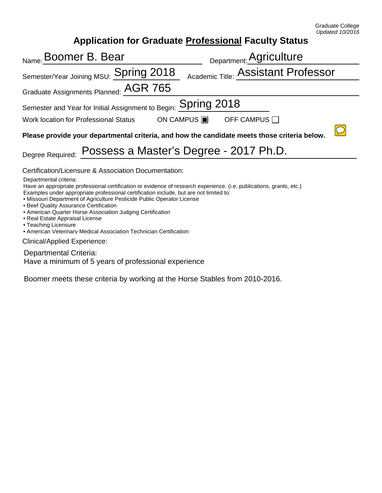## **Application for Graduate Professional Faculty Status**

| <sub>Name:</sub> Boomer B. Bear                                                                                                                                                                                                                                                                                                                                                                                                                                                                                       | Department: Agriculture             |  |
|-----------------------------------------------------------------------------------------------------------------------------------------------------------------------------------------------------------------------------------------------------------------------------------------------------------------------------------------------------------------------------------------------------------------------------------------------------------------------------------------------------------------------|-------------------------------------|--|
| Semester/Year Joining MSU: Spring 2018                                                                                                                                                                                                                                                                                                                                                                                                                                                                                | Academic Title: Assistant Professor |  |
| Graduate Assignments Planned: $\overline{\text{AGR}}$ 765                                                                                                                                                                                                                                                                                                                                                                                                                                                             |                                     |  |
| Semester and Year for Initial Assignment to Begin: $\mathop{\rm Spring}\nolimits2018$                                                                                                                                                                                                                                                                                                                                                                                                                                 |                                     |  |
| Work location for Professional Status                                                                                                                                                                                                                                                                                                                                                                                                                                                                                 | OFF CAMPUS $\Box$<br>ON CAMPUS ■    |  |
| Please provide your departmental criteria, and how the candidate meets those criteria below.                                                                                                                                                                                                                                                                                                                                                                                                                          |                                     |  |
| Possess a Master's Degree - 2017 Ph.D.<br>Degree Required:                                                                                                                                                                                                                                                                                                                                                                                                                                                            |                                     |  |
| Certification/Licensure & Association Documentation:<br>Departmental criteria:<br>Have an appropriate professional certification or evidence of research experience. (i.e. publications, grants, etc.)<br>Examples under appropriate professional certification include, but are not limited to:<br>• Missouri Department of Agriculture Pesticide Public Operator License<br>• Beef Quality Assurance Certification<br>• American Quarter Horse Association Judging Certification<br>• Real Estate Appraisal License |                                     |  |
| • Teaching Licensure<br>• American Veterinary Medical Association Technician Certification                                                                                                                                                                                                                                                                                                                                                                                                                            |                                     |  |
| Clinical/Applied Experience:                                                                                                                                                                                                                                                                                                                                                                                                                                                                                          |                                     |  |
| Departmental Criteria:                                                                                                                                                                                                                                                                                                                                                                                                                                                                                                |                                     |  |

Have a minimum of 5 years of professional experience

Boomer meets these criteria by working at the Horse Stables from 2010-2016.